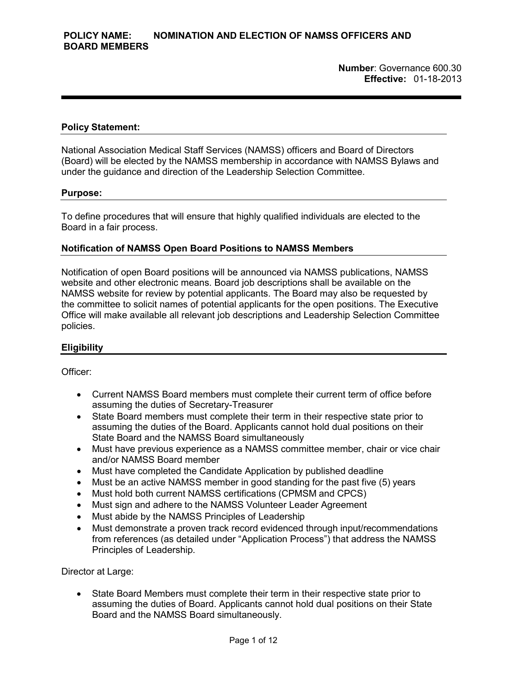**Number**: Governance 600.30 **Effective:** 01-18-2013

#### **Policy Statement:**

National Association Medical Staff Services (NAMSS) officers and Board of Directors (Board) will be elected by the NAMSS membership in accordance with NAMSS Bylaws and under the guidance and direction of the Leadership Selection Committee.

#### **Purpose:**

To define procedures that will ensure that highly qualified individuals are elected to the Board in a fair process.

#### **Notification of NAMSS Open Board Positions to NAMSS Members**

Notification of open Board positions will be announced via NAMSS publications, NAMSS website and other electronic means. Board job descriptions shall be available on the NAMSS website for review by potential applicants. The Board may also be requested by the committee to solicit names of potential applicants for the open positions. The Executive Office will make available all relevant job descriptions and Leadership Selection Committee policies.

### **Eligibility**

Officer:

- Current NAMSS Board members must complete their current term of office before assuming the duties of Secretary-Treasurer
- State Board members must complete their term in their respective state prior to assuming the duties of the Board. Applicants cannot hold dual positions on their State Board and the NAMSS Board simultaneously
- Must have previous experience as a NAMSS committee member, chair or vice chair and/or NAMSS Board member
- Must have completed the Candidate Application by published deadline
- Must be an active NAMSS member in good standing for the past five (5) years
- Must hold both current NAMSS certifications (CPMSM and CPCS)
- Must sign and adhere to the NAMSS Volunteer Leader Agreement
- Must abide by the NAMSS Principles of Leadership
- Must demonstrate a proven track record evidenced through input/recommendations from references (as detailed under "Application Process") that address the NAMSS Principles of Leadership.

Director at Large:

• State Board Members must complete their term in their respective state prior to assuming the duties of Board. Applicants cannot hold dual positions on their State Board and the NAMSS Board simultaneously.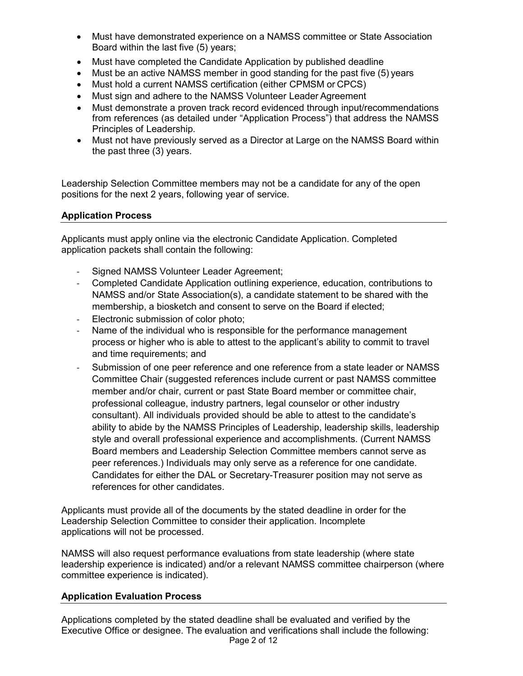- Must have demonstrated experience on a NAMSS committee or State Association Board within the last five (5) years;
- Must have completed the Candidate Application by published deadline
- Must be an active NAMSS member in good standing for the past five (5) years
- Must hold a current NAMSS certification (either CPMSM or CPCS)
- Must sign and adhere to the NAMSS Volunteer Leader Agreement
- Must demonstrate a proven track record evidenced through input/recommendations from references (as detailed under "Application Process") that address the NAMSS Principles of Leadership.
- Must not have previously served as a Director at Large on the NAMSS Board within the past three (3) years.

Leadership Selection Committee members may not be a candidate for any of the open positions for the next 2 years, following year of service.

# **Application Process**

Applicants must apply online via the electronic Candidate Application. Completed application packets shall contain the following:

- Signed NAMSS Volunteer Leader Agreement;
- Completed Candidate Application outlining experience, education, contributions to NAMSS and/or State Association(s), a candidate statement to be shared with the membership, a biosketch and consent to serve on the Board if elected;
- Electronic submission of color photo;
- Name of the individual who is responsible for the performance management process or higher who is able to attest to the applicant's ability to commit to travel and time requirements; and
- Submission of one peer reference and one reference from a state leader or NAMSS Committee Chair (suggested references include current or past NAMSS committee member and/or chair, current or past State Board member or committee chair, professional colleague, industry partners, legal counselor or other industry consultant). All individuals provided should be able to attest to the candidate's ability to abide by the NAMSS Principles of Leadership, leadership skills, leadership style and overall professional experience and accomplishments. (Current NAMSS Board members and Leadership Selection Committee members cannot serve as peer references.) Individuals may only serve as a reference for one candidate. Candidates for either the DAL or Secretary-Treasurer position may not serve as references for other candidates.

Applicants must provide all of the documents by the stated deadline in order for the Leadership Selection Committee to consider their application. Incomplete applications will not be processed.

NAMSS will also request performance evaluations from state leadership (where state leadership experience is indicated) and/or a relevant NAMSS committee chairperson (where committee experience is indicated).

## **Application Evaluation Process**

Applications completed by the stated deadline shall be evaluated and verified by the Executive Office or designee. The evaluation and verifications shall include the following: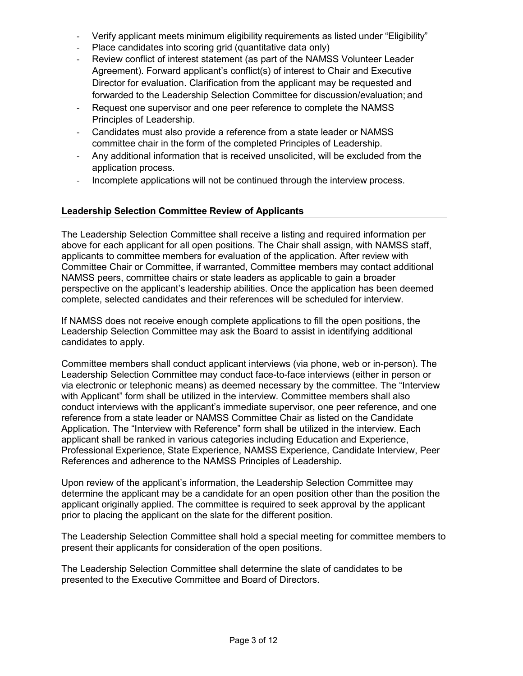- Verify applicant meets minimum eligibility requirements as listed under "Eligibility"
- Place candidates into scoring grid (quantitative data only)
- Review conflict of interest statement (as part of the NAMSS Volunteer Leader Agreement). Forward applicant's conflict(s) of interest to Chair and Executive Director for evaluation. Clarification from the applicant may be requested and forwarded to the Leadership Selection Committee for discussion/evaluation; and
- Request one supervisor and one peer reference to complete the NAMSS Principles of Leadership.
- Candidates must also provide a reference from a state leader or NAMSS committee chair in the form of the completed Principles of Leadership.
- Any additional information that is received unsolicited, will be excluded from the application process.
- Incomplete applications will not be continued through the interview process.

# **Leadership Selection Committee Review of Applicants**

The Leadership Selection Committee shall receive a listing and required information per above for each applicant for all open positions. The Chair shall assign, with NAMSS staff, applicants to committee members for evaluation of the application. After review with Committee Chair or Committee, if warranted, Committee members may contact additional NAMSS peers, committee chairs or state leaders as applicable to gain a broader perspective on the applicant's leadership abilities. Once the application has been deemed complete, selected candidates and their references will be scheduled for interview.

If NAMSS does not receive enough complete applications to fill the open positions, the Leadership Selection Committee may ask the Board to assist in identifying additional candidates to apply.

Committee members shall conduct applicant interviews (via phone, web or in-person). The Leadership Selection Committee may conduct face-to-face interviews (either in person or via electronic or telephonic means) as deemed necessary by the committee. The "Interview with Applicant" form shall be utilized in the interview. Committee members shall also conduct interviews with the applicant's immediate supervisor, one peer reference, and one reference from a state leader or NAMSS Committee Chair as listed on the Candidate Application. The "Interview with Reference" form shall be utilized in the interview. Each applicant shall be ranked in various categories including Education and Experience, Professional Experience, State Experience, NAMSS Experience, Candidate Interview, Peer References and adherence to the NAMSS Principles of Leadership.

Upon review of the applicant's information, the Leadership Selection Committee may determine the applicant may be a candidate for an open position other than the position the applicant originally applied. The committee is required to seek approval by the applicant prior to placing the applicant on the slate for the different position.

The Leadership Selection Committee shall hold a special meeting for committee members to present their applicants for consideration of the open positions.

The Leadership Selection Committee shall determine the slate of candidates to be presented to the Executive Committee and Board of Directors.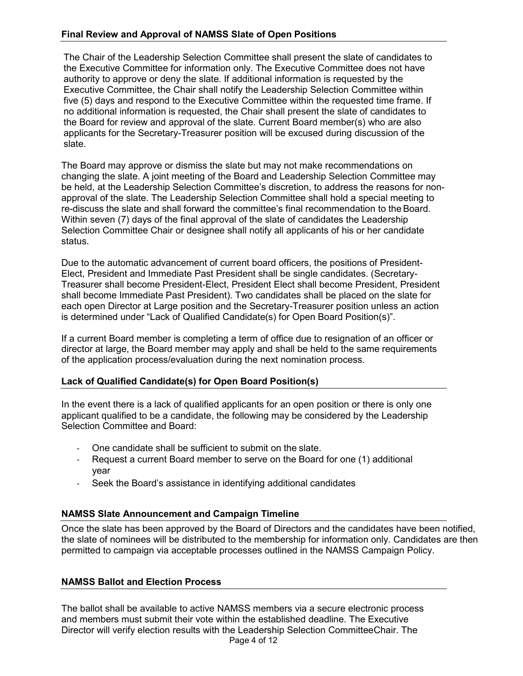# **Final Review and Approval of NAMSS Slate of Open Positions**

The Chair of the Leadership Selection Committee shall present the slate of candidates to the Executive Committee for information only. The Executive Committee does not have authority to approve or deny the slate. If additional information is requested by the Executive Committee, the Chair shall notify the Leadership Selection Committee within five (5) days and respond to the Executive Committee within the requested time frame. If no additional information is requested, the Chair shall present the slate of candidates to the Board for review and approval of the slate. Current Board member(s) who are also applicants for the Secretary-Treasurer position will be excused during discussion of the slate.

The Board may approve or dismiss the slate but may not make recommendations on changing the slate. A joint meeting of the Board and Leadership Selection Committee may be held, at the Leadership Selection Committee's discretion, to address the reasons for nonapproval of the slate. The Leadership Selection Committee shall hold a special meeting to re-discuss the slate and shall forward the committee's final recommendation to the Board. Within seven (7) days of the final approval of the slate of candidates the Leadership Selection Committee Chair or designee shall notify all applicants of his or her candidate status.

Due to the automatic advancement of current board officers, the positions of President-Elect, President and Immediate Past President shall be single candidates. (Secretary-Treasurer shall become President-Elect, President Elect shall become President, President shall become Immediate Past President). Two candidates shall be placed on the slate for each open Director at Large position and the Secretary-Treasurer position unless an action is determined under "Lack of Qualified Candidate(s) for Open Board Position(s)".

If a current Board member is completing a term of office due to resignation of an officer or director at large, the Board member may apply and shall be held to the same requirements of the application process/evaluation during the next nomination process.

## **Lack of Qualified Candidate(s) for Open Board Position(s)**

In the event there is a lack of qualified applicants for an open position or there is only one applicant qualified to be a candidate, the following may be considered by the Leadership Selection Committee and Board:

- One candidate shall be sufficient to submit on the slate.
- Request a current Board member to serve on the Board for one (1) additional year
- Seek the Board's assistance in identifying additional candidates

## **NAMSS Slate Announcement and Campaign Timeline**

Once the slate has been approved by the Board of Directors and the candidates have been notified, the slate of nominees will be distributed to the membership for information only. Candidates are then permitted to campaign via acceptable processes outlined in the NAMSS Campaign Policy.

## **NAMSS Ballot and Election Process**

Page 4 of 12 The ballot shall be available to active NAMSS members via a secure electronic process and members must submit their vote within the established deadline. The Executive Director will verify election results with the Leadership Selection CommitteeChair. The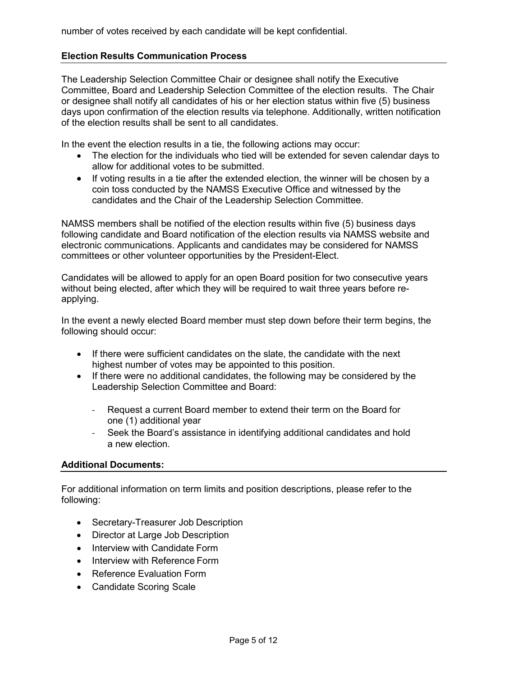number of votes received by each candidate will be kept confidential.

### **Election Results Communication Process**

The Leadership Selection Committee Chair or designee shall notify the Executive Committee, Board and Leadership Selection Committee of the election results. The Chair or designee shall notify all candidates of his or her election status within five (5) business days upon confirmation of the election results via telephone. Additionally, written notification of the election results shall be sent to all candidates.

In the event the election results in a tie, the following actions may occur:

- The election for the individuals who tied will be extended for seven calendar days to allow for additional votes to be submitted.
- If voting results in a tie after the extended election, the winner will be chosen by a coin toss conducted by the NAMSS Executive Office and witnessed by the candidates and the Chair of the Leadership Selection Committee.

NAMSS members shall be notified of the election results within five (5) business days following candidate and Board notification of the election results via NAMSS website and electronic communications. Applicants and candidates may be considered for NAMSS committees or other volunteer opportunities by the President-Elect.

Candidates will be allowed to apply for an open Board position for two consecutive years without being elected, after which they will be required to wait three years before reapplying.

In the event a newly elected Board member must step down before their term begins, the following should occur:

- If there were sufficient candidates on the slate, the candidate with the next highest number of votes may be appointed to this position.
- If there were no additional candidates, the following may be considered by the Leadership Selection Committee and Board:
	- Request a current Board member to extend their term on the Board for one (1) additional year
	- Seek the Board's assistance in identifying additional candidates and hold a new election.

### **Additional Documents:**

For additional information on term limits and position descriptions, please refer to the following:

- Secretary-Treasurer Job Description
- Director at Large Job Description
- Interview with Candidate Form
- Interview with Reference Form
- Reference Evaluation Form
- Candidate Scoring Scale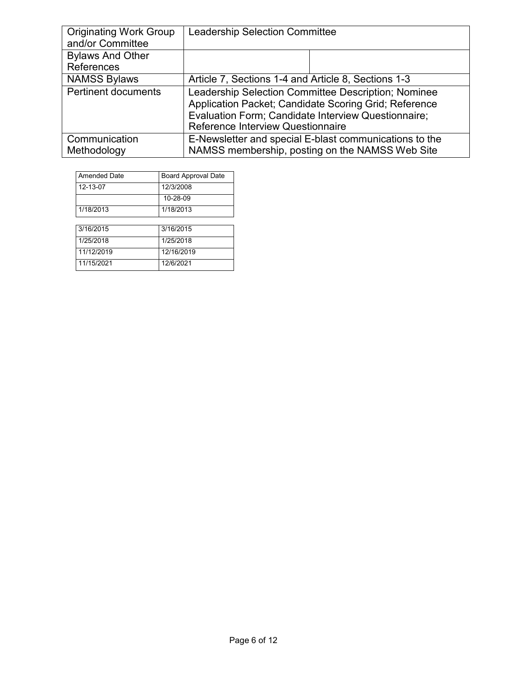| <b>Originating Work Group</b><br>and/or Committee | <b>Leadership Selection Committee</b>                                                                                                                                                                    |  |
|---------------------------------------------------|----------------------------------------------------------------------------------------------------------------------------------------------------------------------------------------------------------|--|
| <b>Bylaws And Other</b><br>References             |                                                                                                                                                                                                          |  |
| <b>NAMSS Bylaws</b>                               | Article 7, Sections 1-4 and Article 8, Sections 1-3                                                                                                                                                      |  |
| <b>Pertinent documents</b>                        | Leadership Selection Committee Description; Nominee<br>Application Packet; Candidate Scoring Grid; Reference<br>Evaluation Form; Candidate Interview Questionnaire;<br>Reference Interview Questionnaire |  |
| Communication<br>Methodology                      | E-Newsletter and special E-blast communications to the<br>NAMSS membership, posting on the NAMSS Web Site                                                                                                |  |

| <b>Amended Date</b> | <b>Board Approval Date</b> |
|---------------------|----------------------------|
| 12-13-07            | 12/3/2008                  |
|                     | $10 - 28 - 09$             |
| 1/18/2013           | 1/18/2013                  |

| 3/16/2015  | 3/16/2015  |
|------------|------------|
| 1/25/2018  | 1/25/2018  |
| 11/12/2019 | 12/16/2019 |
| 11/15/2021 | 12/6/2021  |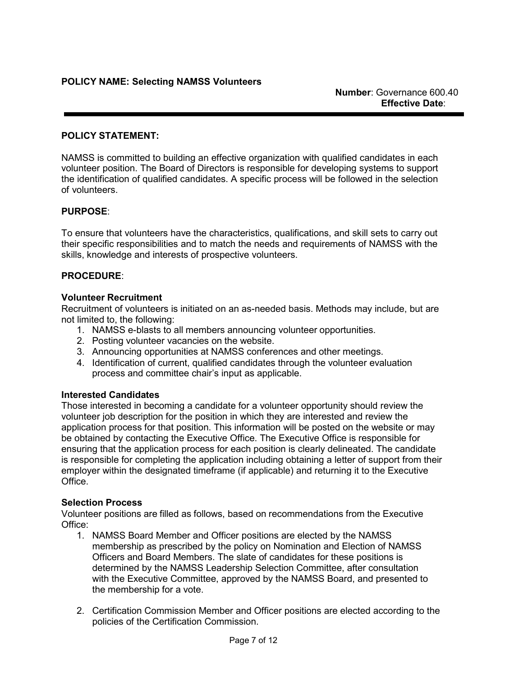### **POLICY STATEMENT:**

NAMSS is committed to building an effective organization with qualified candidates in each volunteer position. The Board of Directors is responsible for developing systems to support the identification of qualified candidates. A specific process will be followed in the selection of volunteers.

### **PURPOSE**:

To ensure that volunteers have the characteristics, qualifications, and skill sets to carry out their specific responsibilities and to match the needs and requirements of NAMSS with the skills, knowledge and interests of prospective volunteers.

### **PROCEDURE**:

### **Volunteer Recruitment**

Recruitment of volunteers is initiated on an as-needed basis. Methods may include, but are not limited to, the following:

- 1. NAMSS e-blasts to all members announcing volunteer opportunities.
- 2. Posting volunteer vacancies on the website.
- 3. Announcing opportunities at NAMSS conferences and other meetings.
- 4. Identification of current, qualified candidates through the volunteer evaluation process and committee chair's input as applicable.

### **Interested Candidates**

Those interested in becoming a candidate for a volunteer opportunity should review the volunteer job description for the position in which they are interested and review the application process for that position. This information will be posted on the website or may be obtained by contacting the Executive Office. The Executive Office is responsible for ensuring that the application process for each position is clearly delineated. The candidate is responsible for completing the application including obtaining a letter of support from their employer within the designated timeframe (if applicable) and returning it to the Executive **Office** 

### **Selection Process**

Volunteer positions are filled as follows, based on recommendations from the Executive Office:

- 1. NAMSS Board Member and Officer positions are elected by the NAMSS membership as prescribed by the policy on Nomination and Election of NAMSS Officers and Board Members. The slate of candidates for these positions is determined by the NAMSS Leadership Selection Committee, after consultation with the Executive Committee, approved by the NAMSS Board, and presented to the membership for a vote.
- 2. Certification Commission Member and Officer positions are elected according to the policies of the Certification Commission.